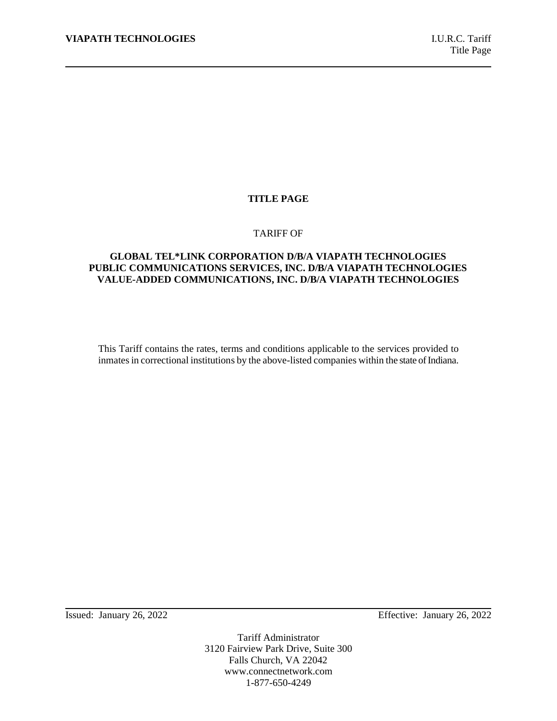## **TITLE PAGE**

#### TARIFF OF

# **GLOBAL TEL\*LINK CORPORATION D/B/A VIAPATH TECHNOLOGIES PUBLIC COMMUNICATIONS SERVICES, INC. D/B/A VIAPATH TECHNOLOGIES VALUE-ADDED COMMUNICATIONS, INC. D/B/A VIAPATH TECHNOLOGIES**

This Tariff contains the rates, terms and conditions applicable to the services provided to inmates in correctional institutions by the above-listed companies within the state of Indiana.

Issued: January 26, 2022 Effective: January 26, 2022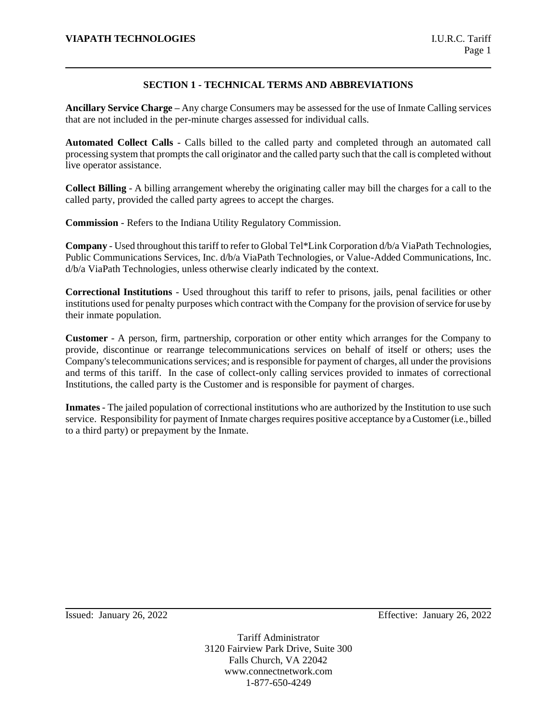# **SECTION 1 - TECHNICAL TERMS AND ABBREVIATIONS**

**Ancillary Service Charge –** Any charge Consumers may be assessed for the use of Inmate Calling services that are not included in the per-minute charges assessed for individual calls.

**Automated Collect Calls** - Calls billed to the called party and completed through an automated call processing system that prompts the call originator and the called party such that the call is completed without live operator assistance.

**Collect Billing** - A billing arrangement whereby the originating caller may bill the charges for a call to the called party, provided the called party agrees to accept the charges.

**Commission** - Refers to the Indiana Utility Regulatory Commission.

**Company** - Used throughout this tariff to refer to Global Tel\*Link Corporation d/b/a ViaPath Technologies, Public Communications Services, Inc. d/b/a ViaPath Technologies, or Value-Added Communications, Inc. d/b/a ViaPath Technologies, unless otherwise clearly indicated by the context.

**Correctional Institutions** - Used throughout this tariff to refer to prisons, jails, penal facilities or other institutions used for penalty purposes which contract with the Company for the provision of service for use by their inmate population.

**Customer** - A person, firm, partnership, corporation or other entity which arranges for the Company to provide, discontinue or rearrange telecommunications services on behalf of itself or others; uses the Company's telecommunications services; and is responsible for payment of charges, all under the provisions and terms of this tariff. In the case of collect-only calling services provided to inmates of correctional Institutions, the called party is the Customer and is responsible for payment of charges.

**Inmates** - The jailed population of correctional institutions who are authorized by the Institution to use such service. Responsibility for payment of Inmate charges requires positive acceptance by a Customer (i.e., billed to a third party) or prepayment by the Inmate.

Issued: January 26, 2022 Effective: January 26, 2022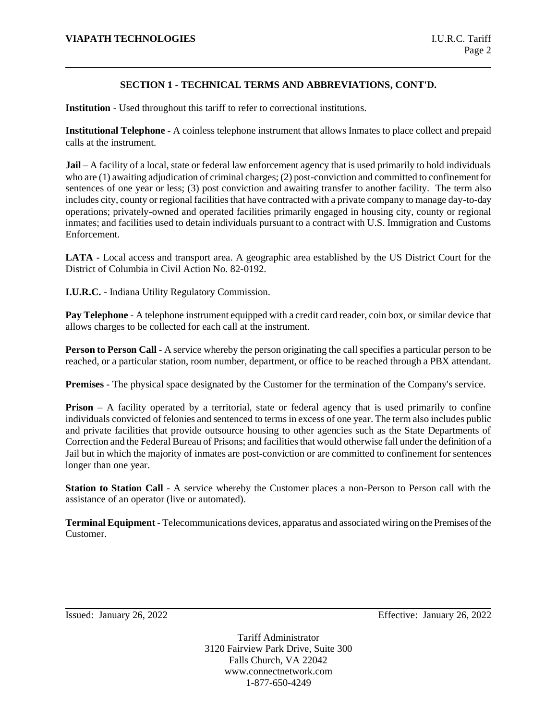# **SECTION 1 - TECHNICAL TERMS AND ABBREVIATIONS, CONT'D.**

**Institution** - Used throughout this tariff to refer to correctional institutions.

**Institutional Telephone** - A coinless telephone instrument that allows Inmates to place collect and prepaid calls at the instrument.

**Jail** – A facility of a local, state or federal law enforcement agency that is used primarily to hold individuals who are (1) awaiting adjudication of criminal charges; (2) post-conviction and committed to confinement for sentences of one year or less; (3) post conviction and awaiting transfer to another facility. The term also includes city, county or regional facilities that have contracted with a private company to manage day-to-day operations; privately-owned and operated facilities primarily engaged in housing city, county or regional inmates; and facilities used to detain individuals pursuant to a contract with U.S. Immigration and Customs Enforcement.

**LATA** - Local access and transport area. A geographic area established by the US District Court for the District of Columbia in Civil Action No. 82-0192.

**I.U.R.C.** - Indiana Utility Regulatory Commission.

**Pay Telephone** - A telephone instrument equipped with a credit card reader, coin box, or similar device that allows charges to be collected for each call at the instrument.

**Person to Person Call** - A service whereby the person originating the call specifies a particular person to be reached, or a particular station, room number, department, or office to be reached through a PBX attendant.

**Premises** - The physical space designated by the Customer for the termination of the Company's service.

**Prison** – A facility operated by a territorial, state or federal agency that is used primarily to confine individuals convicted of felonies and sentenced to terms in excess of one year. The term also includes public and private facilities that provide outsource housing to other agencies such as the State Departments of Correction and the Federal Bureau of Prisons; and facilities that would otherwise fall under the definition of a Jail but in which the majority of inmates are post-conviction or are committed to confinement for sentences longer than one year.

**Station to Station Call** - A service whereby the Customer places a non-Person to Person call with the assistance of an operator (live or automated).

**Terminal Equipment** - Telecommunications devices, apparatus and associated wiring on the Premises of the Customer.

Issued: January 26, 2022 Effective: January 26, 2022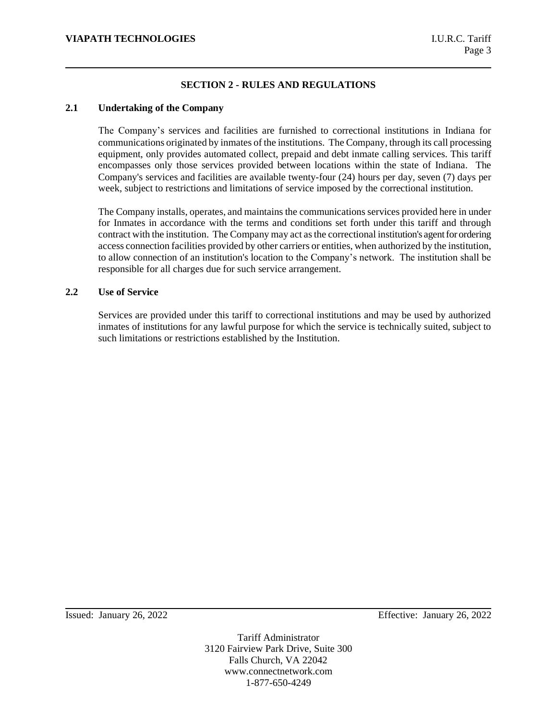# **SECTION 2 - RULES AND REGULATIONS**

## **2.1 Undertaking of the Company**

The Company's services and facilities are furnished to correctional institutions in Indiana for communications originated by inmates of the institutions. The Company, through its call processing equipment, only provides automated collect, prepaid and debt inmate calling services. This tariff encompasses only those services provided between locations within the state of Indiana. The Company's services and facilities are available twenty-four (24) hours per day, seven (7) days per week, subject to restrictions and limitations of service imposed by the correctional institution.

The Company installs, operates, and maintains the communications services provided here in under for Inmates in accordance with the terms and conditions set forth under this tariff and through contract with the institution. The Company may act as the correctional institution's agent for ordering access connection facilities provided by other carriers or entities, when authorized by the institution, to allow connection of an institution's location to the Company's network. The institution shall be responsible for all charges due for such service arrangement.

## **2.2 Use of Service**

Services are provided under this tariff to correctional institutions and may be used by authorized inmates of institutions for any lawful purpose for which the service is technically suited, subject to such limitations or restrictions established by the Institution.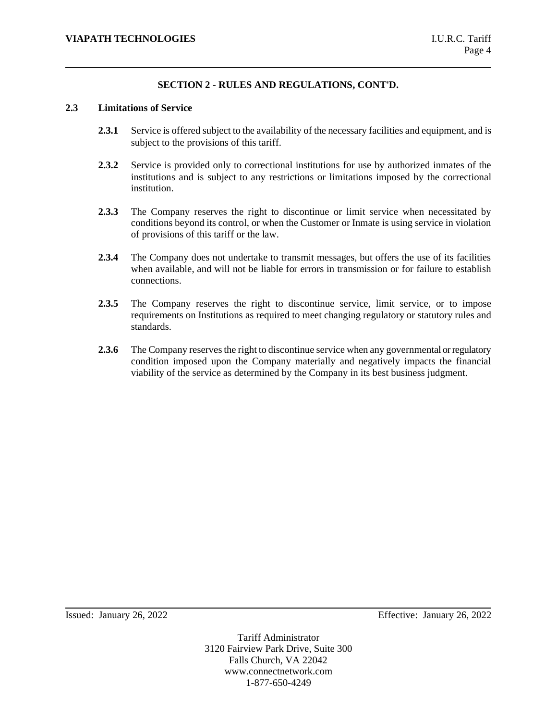### **2.3 Limitations of Service**

- **2.3.1** Service is offered subject to the availability of the necessary facilities and equipment, and is subject to the provisions of this tariff.
- **2.3.2** Service is provided only to correctional institutions for use by authorized inmates of the institutions and is subject to any restrictions or limitations imposed by the correctional institution.
- **2.3.3** The Company reserves the right to discontinue or limit service when necessitated by conditions beyond its control, or when the Customer or Inmate is using service in violation of provisions of this tariff or the law.
- **2.3.4** The Company does not undertake to transmit messages, but offers the use of its facilities when available, and will not be liable for errors in transmission or for failure to establish connections.
- 2.3.5 The Company reserves the right to discontinue service, limit service, or to impose requirements on Institutions as required to meet changing regulatory or statutory rules and standards.
- **2.3.6** The Company reserves the right to discontinue service when any governmental or regulatory condition imposed upon the Company materially and negatively impacts the financial viability of the service as determined by the Company in its best business judgment.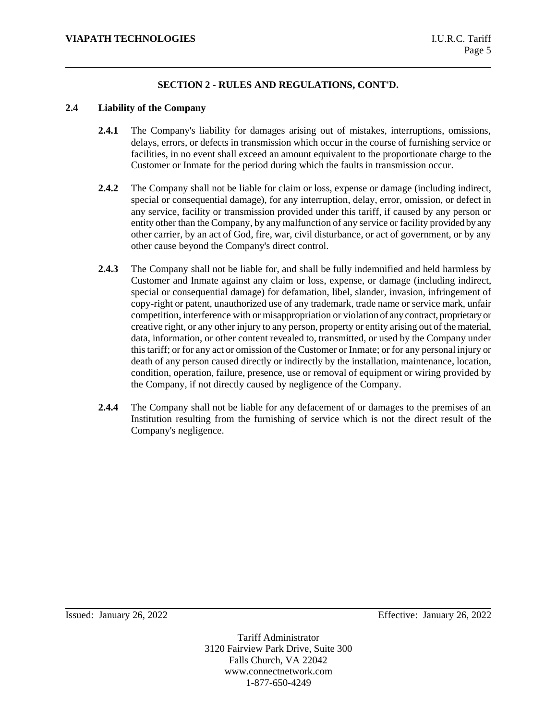## **2.4 Liability of the Company**

- **2.4.1** The Company's liability for damages arising out of mistakes, interruptions, omissions, delays, errors, or defects in transmission which occur in the course of furnishing service or facilities, in no event shall exceed an amount equivalent to the proportionate charge to the Customer or Inmate for the period during which the faults in transmission occur.
- **2.4.2** The Company shall not be liable for claim or loss, expense or damage (including indirect, special or consequential damage), for any interruption, delay, error, omission, or defect in any service, facility or transmission provided under this tariff, if caused by any person or entity other than the Company, by any malfunction of any service or facility provided by any other carrier, by an act of God, fire, war, civil disturbance, or act of government, or by any other cause beyond the Company's direct control.
- **2.4.3** The Company shall not be liable for, and shall be fully indemnified and held harmless by Customer and Inmate against any claim or loss, expense, or damage (including indirect, special or consequential damage) for defamation, libel, slander, invasion, infringement of copy-right or patent, unauthorized use of any trademark, trade name or service mark, unfair competition, interference with or misappropriation or violation of any contract, proprietary or creative right, or any other injury to any person, property or entity arising out of the material, data, information, or other content revealed to, transmitted, or used by the Company under this tariff; or for any act or omission of the Customer or Inmate; or for any personal injury or death of any person caused directly or indirectly by the installation, maintenance, location, condition, operation, failure, presence, use or removal of equipment or wiring provided by the Company, if not directly caused by negligence of the Company.
- **2.4.4** The Company shall not be liable for any defacement of or damages to the premises of an Institution resulting from the furnishing of service which is not the direct result of the Company's negligence.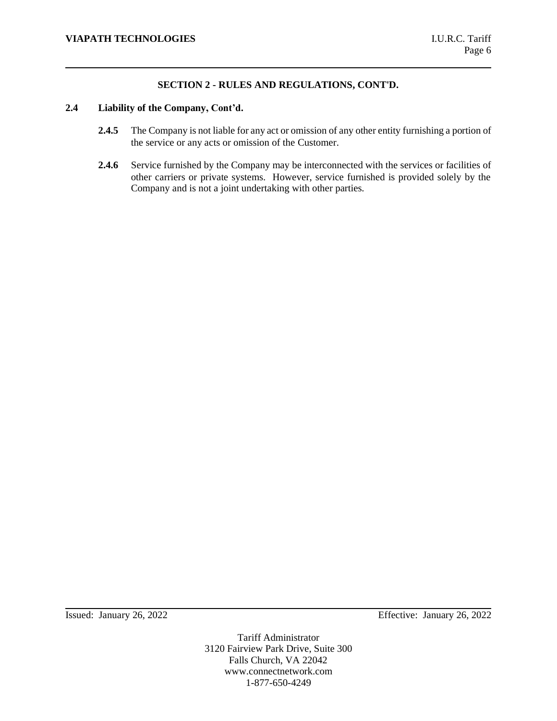## **2.4 Liability of the Company, Cont'd.**

- **2.4.5** The Company is not liable for any act or omission of any other entity furnishing a portion of the service or any acts or omission of the Customer.
- **2.4.6** Service furnished by the Company may be interconnected with the services or facilities of other carriers or private systems. However, service furnished is provided solely by the Company and is not a joint undertaking with other parties.

Issued: January 26, 2022 Effective: January 26, 2022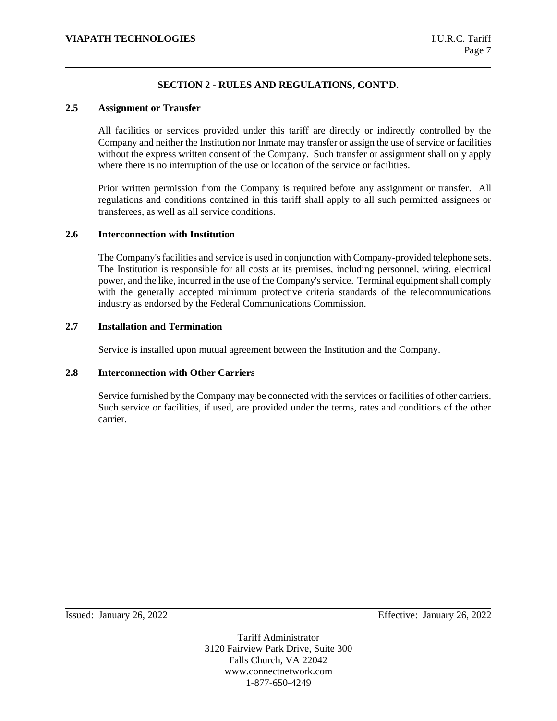### **2.5 Assignment or Transfer**

All facilities or services provided under this tariff are directly or indirectly controlled by the Company and neither the Institution nor Inmate may transfer or assign the use of service or facilities without the express written consent of the Company. Such transfer or assignment shall only apply where there is no interruption of the use or location of the service or facilities.

Prior written permission from the Company is required before any assignment or transfer. All regulations and conditions contained in this tariff shall apply to all such permitted assignees or transferees, as well as all service conditions.

### **2.6 Interconnection with Institution**

The Company's facilities and service is used in conjunction with Company-provided telephone sets. The Institution is responsible for all costs at its premises, including personnel, wiring, electrical power, and the like, incurred in the use of the Company's service. Terminal equipment shall comply with the generally accepted minimum protective criteria standards of the telecommunications industry as endorsed by the Federal Communications Commission.

# **2.7 Installation and Termination**

Service is installed upon mutual agreement between the Institution and the Company.

## **2.8 Interconnection with Other Carriers**

Service furnished by the Company may be connected with the services or facilities of other carriers. Such service or facilities, if used, are provided under the terms, rates and conditions of the other carrier.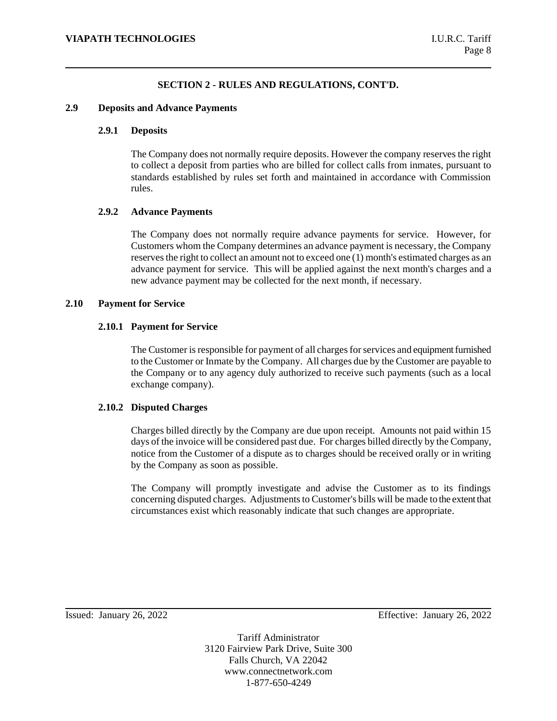### **2.9 Deposits and Advance Payments**

## **2.9.1 Deposits**

The Company does not normally require deposits. However the company reserves the right to collect a deposit from parties who are billed for collect calls from inmates, pursuant to standards established by rules set forth and maintained in accordance with Commission rules.

## **2.9.2 Advance Payments**

The Company does not normally require advance payments for service. However, for Customers whom the Company determines an advance payment is necessary, the Company reserves the right to collect an amount not to exceed one (1) month's estimated charges as an advance payment for service. This will be applied against the next month's charges and a new advance payment may be collected for the next month, if necessary.

## **2.10 Payment for Service**

## **2.10.1 Payment for Service**

The Customer is responsible for payment of all charges for services and equipment furnished to the Customer or Inmate by the Company. All charges due by the Customer are payable to the Company or to any agency duly authorized to receive such payments (such as a local exchange company).

## **2.10.2 Disputed Charges**

Charges billed directly by the Company are due upon receipt. Amounts not paid within 15 days of the invoice will be considered past due. For charges billed directly by the Company, notice from the Customer of a dispute as to charges should be received orally or in writing by the Company as soon as possible.

The Company will promptly investigate and advise the Customer as to its findings concerning disputed charges. Adjustments to Customer's bills will be made to the extent that circumstances exist which reasonably indicate that such changes are appropriate.

Issued: January 26, 2022 Effective: January 26, 2022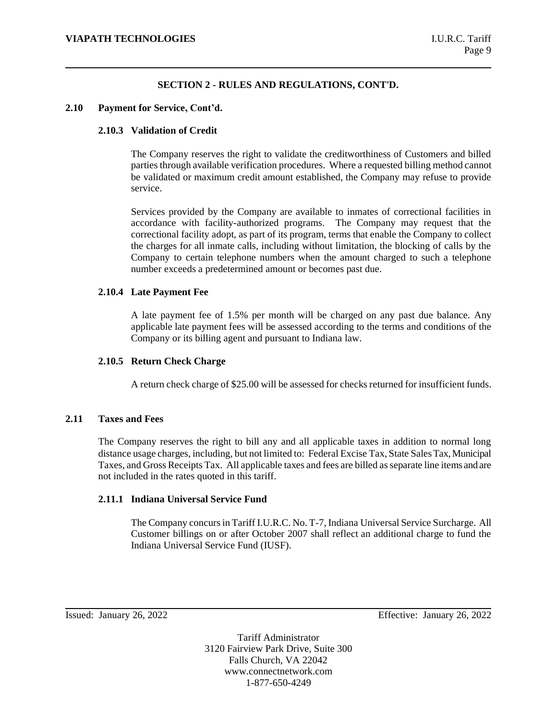## **2.10 Payment for Service, Cont'd.**

## **2.10.3 Validation of Credit**

The Company reserves the right to validate the creditworthiness of Customers and billed parties through available verification procedures. Where a requested billing method cannot be validated or maximum credit amount established, the Company may refuse to provide service.

Services provided by the Company are available to inmates of correctional facilities in accordance with facility-authorized programs. The Company may request that the correctional facility adopt, as part of its program, terms that enable the Company to collect the charges for all inmate calls, including without limitation, the blocking of calls by the Company to certain telephone numbers when the amount charged to such a telephone number exceeds a predetermined amount or becomes past due.

## **2.10.4 Late Payment Fee**

A late payment fee of 1.5% per month will be charged on any past due balance. Any applicable late payment fees will be assessed according to the terms and conditions of the Company or its billing agent and pursuant to Indiana law.

### **2.10.5 Return Check Charge**

A return check charge of \$25.00 will be assessed for checks returned for insufficient funds.

#### **2.11 Taxes and Fees**

The Company reserves the right to bill any and all applicable taxes in addition to normal long distance usage charges, including, but not limited to: Federal Excise Tax, State Sales Tax, Municipal Taxes, and Gross Receipts Tax. All applicable taxes and fees are billed as separate line items and are not included in the rates quoted in this tariff.

### **2.11.1 Indiana Universal Service Fund**

The Company concurs in Tariff I.U.R.C. No. T-7, Indiana Universal Service Surcharge. All Customer billings on or after October 2007 shall reflect an additional charge to fund the Indiana Universal Service Fund (IUSF).

Issued: January 26, 2022 Effective: January 26, 2022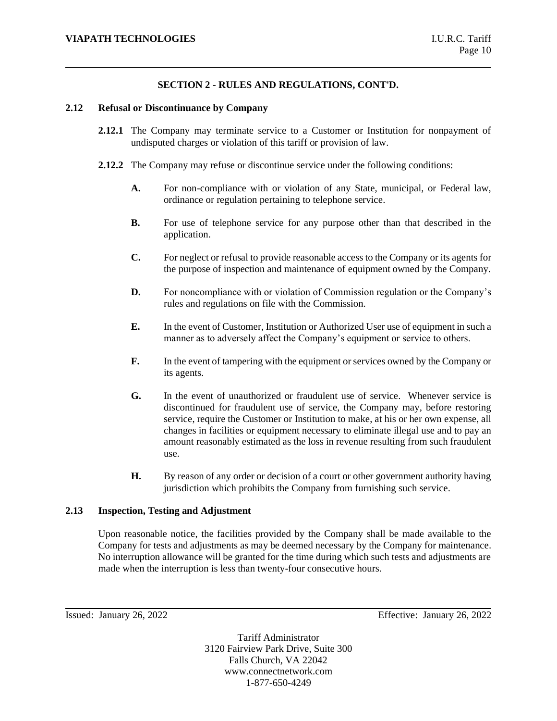### **2.12 Refusal or Discontinuance by Company**

- **2.12.1** The Company may terminate service to a Customer or Institution for nonpayment of undisputed charges or violation of this tariff or provision of law.
- **2.12.2** The Company may refuse or discontinue service under the following conditions:
	- **A.** For non-compliance with or violation of any State, municipal, or Federal law, ordinance or regulation pertaining to telephone service.
	- **B.** For use of telephone service for any purpose other than that described in the application.
	- **C.** For neglect or refusal to provide reasonable access to the Company or its agents for the purpose of inspection and maintenance of equipment owned by the Company.
	- **D.** For noncompliance with or violation of Commission regulation or the Company's rules and regulations on file with the Commission.
	- **E.** In the event of Customer, Institution or Authorized User use of equipment in such a manner as to adversely affect the Company's equipment or service to others.
	- **F.** In the event of tampering with the equipment or services owned by the Company or its agents.
	- **G.** In the event of unauthorized or fraudulent use of service. Whenever service is discontinued for fraudulent use of service, the Company may, before restoring service, require the Customer or Institution to make, at his or her own expense, all changes in facilities or equipment necessary to eliminate illegal use and to pay an amount reasonably estimated as the loss in revenue resulting from such fraudulent use.
	- **H.** By reason of any order or decision of a court or other government authority having jurisdiction which prohibits the Company from furnishing such service.

## **2.13 Inspection, Testing and Adjustment**

Upon reasonable notice, the facilities provided by the Company shall be made available to the Company for tests and adjustments as may be deemed necessary by the Company for maintenance. No interruption allowance will be granted for the time during which such tests and adjustments are made when the interruption is less than twenty-four consecutive hours.

Issued: January 26, 2022 Effective: January 26, 2022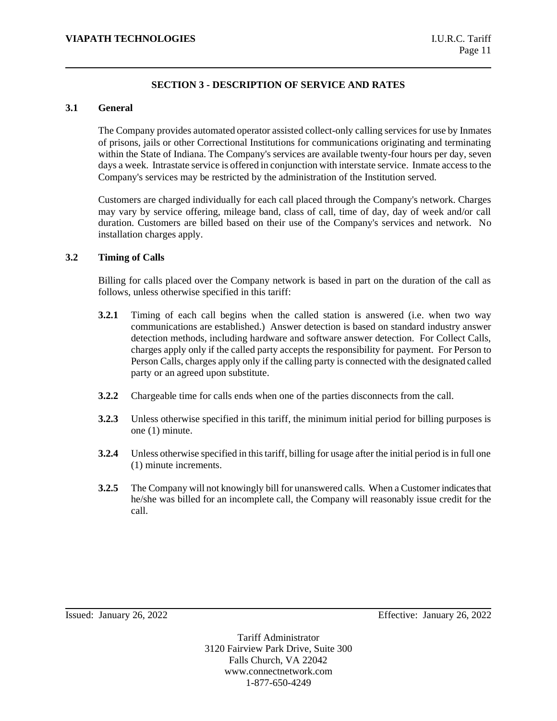# **SECTION 3 - DESCRIPTION OF SERVICE AND RATES**

## **3.1 General**

The Company provides automated operator assisted collect-only calling services for use by Inmates of prisons, jails or other Correctional Institutions for communications originating and terminating within the State of Indiana. The Company's services are available twenty-four hours per day, seven days a week. Intrastate service is offered in conjunction with interstate service. Inmate access to the Company's services may be restricted by the administration of the Institution served.

Customers are charged individually for each call placed through the Company's network. Charges may vary by service offering, mileage band, class of call, time of day, day of week and/or call duration. Customers are billed based on their use of the Company's services and network. No installation charges apply.

## **3.2 Timing of Calls**

Billing for calls placed over the Company network is based in part on the duration of the call as follows, unless otherwise specified in this tariff:

- **3.2.1** Timing of each call begins when the called station is answered (i.e. when two way communications are established.) Answer detection is based on standard industry answer detection methods, including hardware and software answer detection. For Collect Calls, charges apply only if the called party accepts the responsibility for payment. For Person to Person Calls, charges apply only if the calling party is connected with the designated called party or an agreed upon substitute.
- **3.2.2** Chargeable time for calls ends when one of the parties disconnects from the call.
- **3.2.3** Unless otherwise specified in this tariff, the minimum initial period for billing purposes is one (1) minute.
- **3.2.4** Unless otherwise specified in this tariff, billing for usage after the initial period is in full one (1) minute increments.
- **3.2.5** The Company will not knowingly bill for unanswered calls. When a Customer indicates that he/she was billed for an incomplete call, the Company will reasonably issue credit for the call.

Issued: January 26, 2022 Effective: January 26, 2022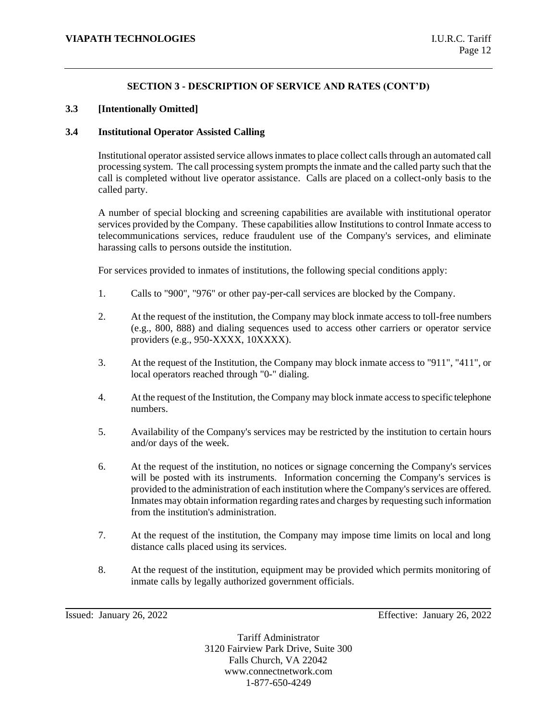## **3.3 [Intentionally Omitted]**

### **3.4 Institutional Operator Assisted Calling**

Institutional operator assisted service allows inmates to place collect calls through an automated call processing system. The call processing system prompts the inmate and the called party such that the call is completed without live operator assistance. Calls are placed on a collect-only basis to the called party.

A number of special blocking and screening capabilities are available with institutional operator services provided by the Company. These capabilities allow Institutions to control Inmate access to telecommunications services, reduce fraudulent use of the Company's services, and eliminate harassing calls to persons outside the institution.

For services provided to inmates of institutions, the following special conditions apply:

- 1. Calls to "900", "976" or other pay-per-call services are blocked by the Company.
- 2. At the request of the institution, the Company may block inmate access to toll-free numbers (e.g., 800, 888) and dialing sequences used to access other carriers or operator service providers (e.g., 950-XXXX, 10XXXX).
- 3. At the request of the Institution, the Company may block inmate access to "911", "411", or local operators reached through "0-" dialing.
- 4. At the request of the Institution, the Company may block inmate access to specific telephone numbers.
- 5. Availability of the Company's services may be restricted by the institution to certain hours and/or days of the week.
- 6. At the request of the institution, no notices or signage concerning the Company's services will be posted with its instruments. Information concerning the Company's services is provided to the administration of each institution where the Company's services are offered. Inmates may obtain information regarding rates and charges by requesting such information from the institution's administration.
- 7. At the request of the institution, the Company may impose time limits on local and long distance calls placed using its services.
- 8. At the request of the institution, equipment may be provided which permits monitoring of inmate calls by legally authorized government officials.

Issued: January 26, 2022 Effective: January 26, 2022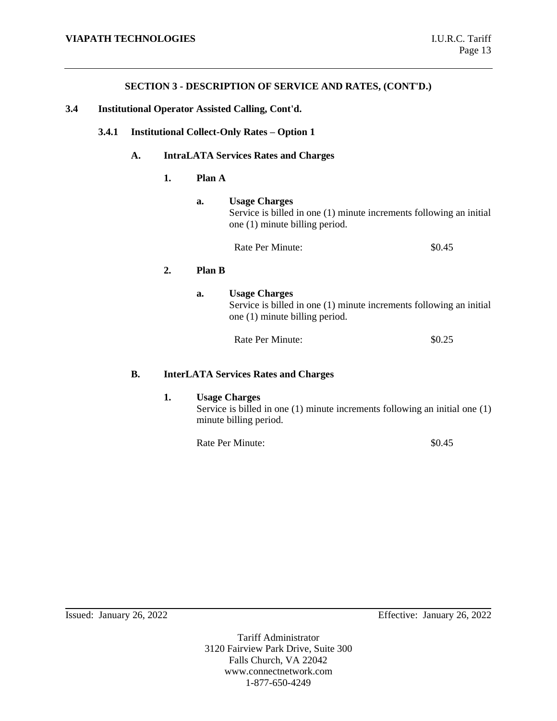- **3.4 Institutional Operator Assisted Calling, Cont'd.**
	- **3.4.1 Institutional Collect-Only Rates – Option 1**

## **A. IntraLATA Services Rates and Charges**

#### **1. Plan A**

# **a. Usage Charges**

Service is billed in one (1) minute increments following an initial one (1) minute billing period.

Rate Per Minute:  $\$0.45$ 

# **2. Plan B**

**a. Usage Charges** Service is billed in one (1) minute increments following an initial one (1) minute billing period.

Rate Per Minute:  $$0.25$ 

### **B. InterLATA Services Rates and Charges**

## **1. Usage Charges**

Service is billed in one (1) minute increments following an initial one (1) minute billing period.

Rate Per Minute:  $\text{80.45}$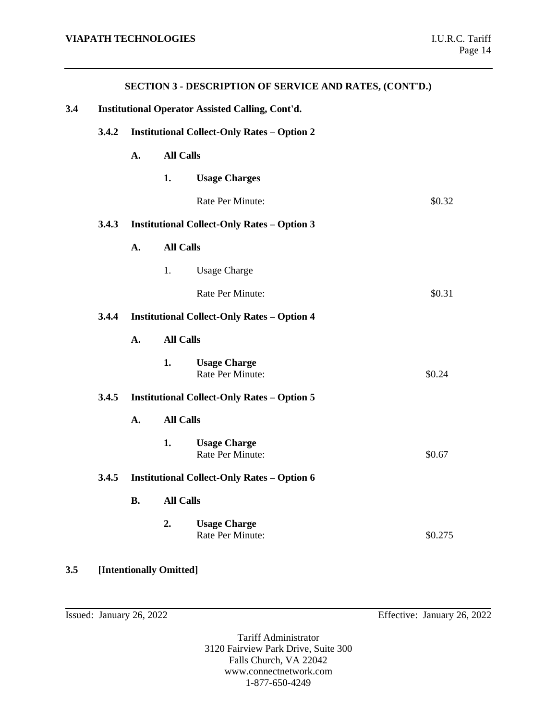|                                                                |                                                    |                                                    | <b>SECTION 3 - DESCRIPTION OF SERVICE AND RATES, (CONT'D.)</b> |         |  |
|----------------------------------------------------------------|----------------------------------------------------|----------------------------------------------------|----------------------------------------------------------------|---------|--|
| 3.4<br><b>Institutional Operator Assisted Calling, Cont'd.</b> |                                                    |                                                    |                                                                |         |  |
| 3.4.2                                                          | <b>Institutional Collect-Only Rates - Option 2</b> |                                                    |                                                                |         |  |
|                                                                | A.                                                 | <b>All Calls</b>                                   |                                                                |         |  |
|                                                                |                                                    | 1.                                                 | <b>Usage Charges</b>                                           |         |  |
|                                                                |                                                    |                                                    | Rate Per Minute:                                               | \$0.32  |  |
| 3.4.3                                                          |                                                    | <b>Institutional Collect-Only Rates - Option 3</b> |                                                                |         |  |
|                                                                | A.                                                 | <b>All Calls</b>                                   |                                                                |         |  |
|                                                                |                                                    | 1.                                                 | <b>Usage Charge</b>                                            |         |  |
|                                                                |                                                    |                                                    | Rate Per Minute:                                               | \$0.31  |  |
| 3.4.4                                                          |                                                    | <b>Institutional Collect-Only Rates - Option 4</b> |                                                                |         |  |
|                                                                | A.                                                 | <b>All Calls</b>                                   |                                                                |         |  |
|                                                                |                                                    | 1.                                                 | <b>Usage Charge</b><br>Rate Per Minute:                        | \$0.24  |  |
| 3.4.5                                                          |                                                    | <b>Institutional Collect-Only Rates - Option 5</b> |                                                                |         |  |
|                                                                | <b>All Calls</b><br>A.                             |                                                    |                                                                |         |  |
|                                                                |                                                    | 1.                                                 | <b>Usage Charge</b><br>Rate Per Minute:                        | \$0.67  |  |
| 3.4.5                                                          | <b>Institutional Collect-Only Rates - Option 6</b> |                                                    |                                                                |         |  |
|                                                                | <b>B.</b>                                          | <b>All Calls</b>                                   |                                                                |         |  |
|                                                                |                                                    | 2.                                                 | <b>Usage Charge</b><br>Rate Per Minute:                        | \$0.275 |  |

**3.5 [Intentionally Omitted]**

Issued: January 26, 2022 Effective: January 26, 2022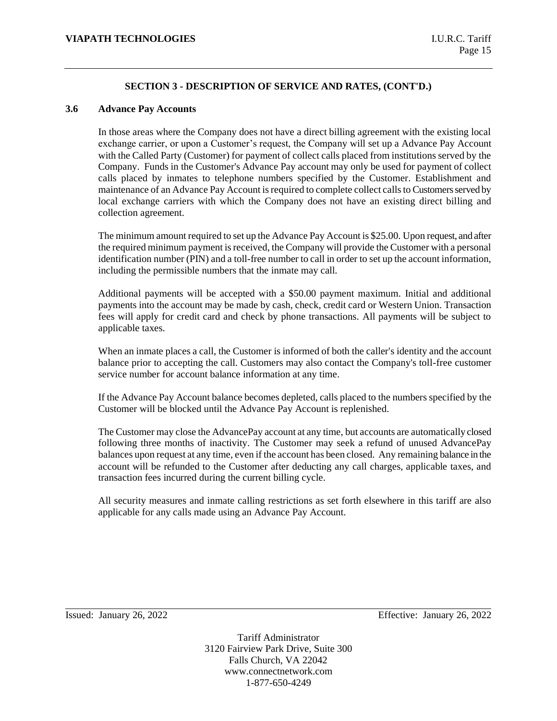#### **3.6 Advance Pay Accounts**

In those areas where the Company does not have a direct billing agreement with the existing local exchange carrier, or upon a Customer's request, the Company will set up a Advance Pay Account with the Called Party (Customer) for payment of collect calls placed from institutions served by the Company. Funds in the Customer's Advance Pay account may only be used for payment of collect calls placed by inmates to telephone numbers specified by the Customer. Establishment and maintenance of an Advance Pay Account is required to complete collect calls to Customers served by local exchange carriers with which the Company does not have an existing direct billing and collection agreement.

The minimum amount required to set up the Advance Pay Account is \$25.00. Upon request, and after the required minimum payment is received, the Company will provide the Customer with a personal identification number (PIN) and a toll-free number to call in order to set up the account information, including the permissible numbers that the inmate may call.

Additional payments will be accepted with a \$50.00 payment maximum. Initial and additional payments into the account may be made by cash, check, credit card or Western Union. Transaction fees will apply for credit card and check by phone transactions. All payments will be subject to applicable taxes.

When an inmate places a call, the Customer is informed of both the caller's identity and the account balance prior to accepting the call. Customers may also contact the Company's toll-free customer service number for account balance information at any time.

If the Advance Pay Account balance becomes depleted, calls placed to the numbers specified by the Customer will be blocked until the Advance Pay Account is replenished.

The Customer may close the AdvancePay account at any time, but accounts are automatically closed following three months of inactivity. The Customer may seek a refund of unused AdvancePay balances upon request at any time, even if the account has been closed. Any remaining balance in the account will be refunded to the Customer after deducting any call charges, applicable taxes, and transaction fees incurred during the current billing cycle.

All security measures and inmate calling restrictions as set forth elsewhere in this tariff are also applicable for any calls made using an Advance Pay Account.

Issued: January 26, 2022 Effective: January 26, 2022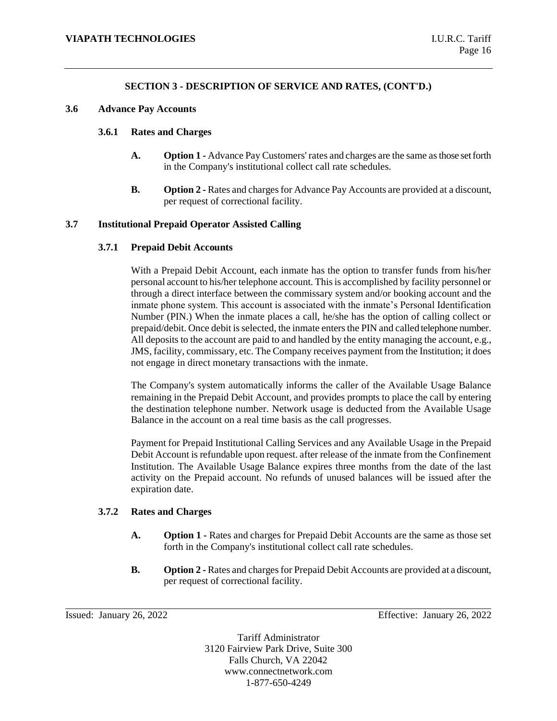#### **3.6 Advance Pay Accounts**

#### **3.6.1 Rates and Charges**

- **A. Option 1 -** Advance Pay Customers' rates and charges are the same as those set forth in the Company's institutional collect call rate schedules.
- **B. Option 2 -** Rates and charges for Advance Pay Accounts are provided at a discount, per request of correctional facility.

#### **3.7 Institutional Prepaid Operator Assisted Calling**

#### **3.7.1 Prepaid Debit Accounts**

With a Prepaid Debit Account, each inmate has the option to transfer funds from his/her personal account to his/her telephone account. This is accomplished by facility personnel or through a direct interface between the commissary system and/or booking account and the inmate phone system. This account is associated with the inmate's Personal Identification Number (PIN.) When the inmate places a call, he/she has the option of calling collect or prepaid/debit. Once debit is selected, the inmate enters the PIN and called telephone number. All deposits to the account are paid to and handled by the entity managing the account, e.g., JMS, facility, commissary, etc. The Company receives payment from the Institution; it does not engage in direct monetary transactions with the inmate.

The Company's system automatically informs the caller of the Available Usage Balance remaining in the Prepaid Debit Account, and provides prompts to place the call by entering the destination telephone number. Network usage is deducted from the Available Usage Balance in the account on a real time basis as the call progresses.

Payment for Prepaid Institutional Calling Services and any Available Usage in the Prepaid Debit Account is refundable upon request. after release of the inmate from the Confinement Institution. The Available Usage Balance expires three months from the date of the last activity on the Prepaid account. No refunds of unused balances will be issued after the expiration date.

#### **3.7.2 Rates and Charges**

- **A. Option 1 -** Rates and charges for Prepaid Debit Accounts are the same as those set forth in the Company's institutional collect call rate schedules.
- **B. Option 2 -** Rates and charges for Prepaid Debit Accounts are provided at a discount, per request of correctional facility.

Issued: January 26, 2022 Effective: January 26, 2022